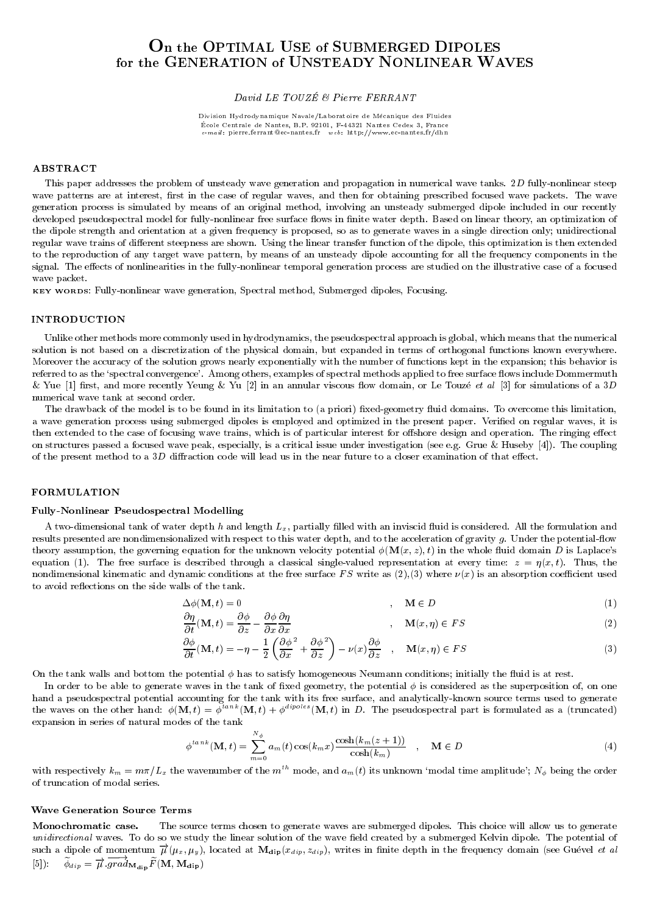# On the OPTIMAL USE of SUBMERGED DIPOLES for the GENERATION of UNSTEADY NONLINEAR WAVES

### David LE TOUZE & Pierre FERRANT

Division Hydrodynamique Navale/Laboratoire de Mecanique des Fluides École Centrale de Nantes, B.P. 92101, F-44321 Nantes Cedex 3, France e-mail : pierre.ferrant@ec-nantes.fr web: http://www.ec-nantes.fr/dhn

#### ABSTRACT

This paper addresses the problem of unsteady wave generation and propagation in numerical wave tanks. 2D fully-nonlinear steep wave patterns are at interest, first in the case of regular waves, and then for obtaining prescribed focused wave packets. The wave generation process is simulated by means of an original method, involving an unsteady submerged dipole included in our recently developed pseudospectral model for fully-nonlinear free surface flows in finite water depth. Based on linear theory, an optimization of the dipole strength and orientation at a given frequency is proposed, so as to generate waves in a single direction only; unidirectional regular wave trains of different steepness are shown. Using the linear transfer function of the dipole, this optimization is then extended to the reproduction of any target wave pattern, by means of an unsteady dipole accounting for all the frequency components in the signal. The effects of nonlinearities in the fully-nonlinear temporal generation process are studied on the illustrative case of a focused wave packet.

KEY WORDS: Fully-nonlinear wave generation, Spectral method, Submerged dipoles, Focusing.

### INTRODUCTION

Unlike other methods more commonly used in hydrodynamics, the pseudospectral approach is global, which means that the numerical solution is not based on a discretization of the physical domain, but expanded in terms of orthogonal functions known everywhere. Moreover the accuracy of the solution grows nearly exponentially with the number of functions kept in the expansion; this behavior is referred to as the 'spectral convergence'. Among others, examples of spectral methods applied to free surface flows include Dommermuth & Yue [1] first, and more recently Yeung & Yu [2] in an annular viscous flow domain, or Le Touzé et al [3] for simulations of a 3D numerical wave tank at second order.

The drawback of the model is to be found in its limitation to (a priori) fixed-geometry fluid domains. To overcome this limitation, a wave generation process using submerged dipoles is employed and optimized in the present paper. Veried on regular waves, it is then extended to the case of focusing wave trains, which is of particular interest for offshore design and operation. The ringing effect on structures passed a focused wave peak, especially, is a critical issue under investigation (see e.g. Grue & Huseby [4]). The coupling of the present method to a  $3D$  diffraction code will lead us in the near future to a closer examination of that effect.

### FORMULATION

#### Fully-Nonlinear Pseudospectral Modelling

A two-dimensional tank of water depth  $h$  and length  $L_x$ , partially filled with an inviscid fluid is considered. All the formulation and results presented are nondimensionalized with respect to this water depth, and to the acceleration of gravity g. Under the potential-flow theory assumption, the governing equation for the unknown velocity potential  $\phi(\mathbf{M}(x, z), t)$  in the whole fluid domain D is Laplace's equation (1). The free surface is described through a classical single-valued representation at every time:  $z = \eta(x, t)$ . Thus, the nondimensional kinematic and dynamic conditions at the free surface FS write as  $(2),(3)$  where  $\nu(x)$  is an absorption coefficient used to avoid reflections on the side walls of the tank.

$$
\Delta \phi(\mathbf{M}, t) = 0 \tag{1}
$$

$$
\frac{\partial \eta}{\partial t}(\mathbf{M}, t) = \frac{\partial \phi}{\partial z} - \frac{\partial \phi}{\partial x} \frac{\partial \eta}{\partial x} \tag{2}
$$

$$
\frac{\partial \phi}{\partial t}(\mathbf{M}, t) = -\eta - \frac{1}{2} \left( \frac{\partial \phi^2}{\partial x} + \frac{\partial \phi^2}{\partial z} \right) - \nu(x) \frac{\partial \phi}{\partial z} , \quad \mathbf{M}(x, \eta) \in FS
$$
\n(3)

On the tank walls and bottom the potential  $\phi$  has to satisfy homogeneous Neumann conditions; initially the fluid is at rest.

In order to be able to generate waves in the tank of fixed geometry, the potential  $\phi$  is considered as the superposition of, on one hand a pseudospectral potential accounting for the tank with its free surface, and analytically-known source terms used to generate the waves on the other hand:  $\phi(\mathbf{M}, t) = \dot{\phi}^{tan k}(\mathbf{M}, t) + \dot{\phi}^{dipoles}(\mathbf{M}, t)$  in D. The pseudospectral part is formulated as a (truncated) expansion in series of natural modes of the tank

$$
\phi^{tank}(\mathbf{M},t) = \sum_{m=0}^{N_{\phi}} a_m(t) \cos(k_m x) \frac{\cosh(k_m(z+1))}{\cosh(k_m)} , \quad \mathbf{M} \in D
$$
\n(4)

with respectively  $k_m = m\pi/L_x$  the wavenumber of the  $m^{tn}$  mode, and  $a_m(t)$  its unknown 'modal time amplitude';  $N_\phi$  being the order of truncation of modal series.

### Wave Generation Source Terms

Monochromatic case. The source terms chosen to generate waves are submerged dipoles. This choice will allow us to generate unidirectional waves. To do so we study the linear solution of the wave field created by a submerged Kelvin dipole. The potential of such a dipole of momentum  $\vec{\mu}(\mu_x, \mu_y)$ , located at  $\mathbf{M_{dip}}(x_{dip}, z_{dip})$ , writes in finite depth in the frequency domain (see Guével et al [5]):  $\phi_{dip} = \overline{\mu} \; grad_{\mathbf{M_{dip}}} F(\mathbf{M}, \mathbf{M_{dip}})$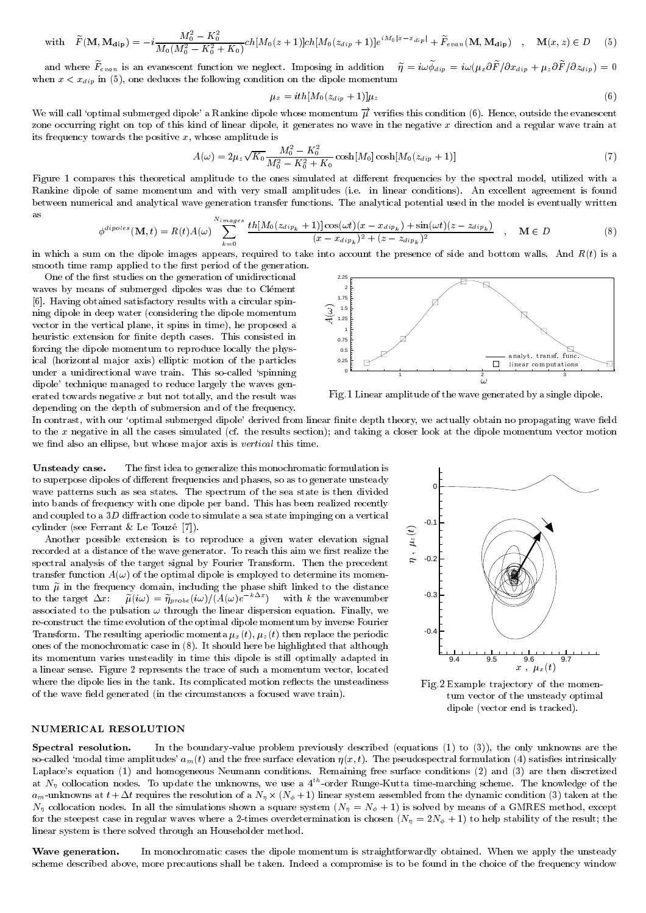with 
$$
\widetilde{F}(\mathbf{M}, \mathbf{M}_{\text{dip}}) = -i \frac{M_0^2 - K_0^2}{M_0(M_0^2 - K_0^2 + K_0)} ch[M_0(z+1)] ch[M_0(z_{dip} + 1)] e^{iM_0|x-x_{dip}|} + \widetilde{F}_{evan}(\mathbf{M}, \mathbf{M}_{\text{dip}}) , \mathbf{M}(x, z) \in D \quad (5)
$$

and where  $F_{evan}$  is an evanescent function we neglect. Imposing in addition  $q = \iota \omega \varphi_{dip} = \iota \omega (\mu_x \sigma) \rho \omega_{dip} + \mu_z \sigma \sigma / \sigma \omega_{dip}) = 0$ when  $x \mapsto \alpha$  in (5), one deduces the following condition on the following condition on the dipole momentum on the dipole momentum condition on the dipole momentum condition on the dipole momentum condition on the dipole

$$
\mu_x = ith[M_0(z_{dip} + 1)]\mu_z \tag{6}
$$

We will call 'optimal submerged dipole' a Rankine dipole whose momentum  $\vec{\mu}$  verifies this condition (6). Hence, outside the evanescent zone occurring right on top of this kind of linear dipole, it generates no wave in the negative  $x$  direction and a regular wave train at its frequency towards the positive  $x$ , whose amplitude is

$$
A(\omega) = 2\mu_z \sqrt{K_0} \frac{M_0^2 - K_0^2}{M_0^2 - K_0^2 + K_0} \cosh[M_0(\alpha_{dip} + 1)]
$$
\n(7)

Figure 1 compares this theoretical amplitude to the ones simulated at different frequencies by the spectral model, utilized with a Rankine dipole of same momentum and with very small amplitudes (i.e. in linear conditions). An excellent agreement is found between numerical and analytical wave generation transfer functions. The analytical potential used in the model is eventually written as

$$
\phi^{dipoles}(\mathbf{M},t) = R(t)A(\omega) \sum_{k=0}^{N \, images} \frac{th[M_0(z_{dip_k}+1)]\cos(\omega t)(x-x_{dip_k})+\sin(\omega t)(z-z_{dip_k})}{(x-x_{dip_k})^2+(z-z_{dip_k})^2}, \quad \mathbf{M} \in D
$$
\n(8)

in which a sum on the dipole images appears, required to take into account the presence of side and bottom walls. And  $R(t)$  is a smooth time ramp applied to the first period of the generation.

One of the first studies on the generation of unidirectional waves by means of submerged dipoles was due to Clément [6]. Having obtained satisfactory results with a circular spinning dipole in deep water (considering the dipole momentum vector in the vertical plane, it spins in time), he proposed a heuristic extension for finite depth cases. This consisted in forcing the dipole momentum to reproduce locally the physical (horizontal major axis) elliptic motion of the particles under a unidirectional wave train. This so-called 'spinning dipole' technique managed to reduce largely the waves generated towards negative  $x$  but not totally, and the result was depending on the depth of submersion and of the frequency.



Fig.1 Linear amplitude of the wave generated by a single dipole.

In contrast, with our 'optimal submerged dipole' derived from linear finite depth theory, we actually obtain no propagating wave field to the x negative in all the cases simulated (cf. the results section); and taking a closer look at the dipole momentum vector motion we find also an ellipse, but whose major axis is *vertical* this time.

Unsteady case. The first idea to generalize this monochromatic formulation is to superpose dipoles of different frequencies and phases, so as to generate unsteady wave patterns such as sea states. The spectrum of the sea state is then divided into bands of frequency with one dipole per band. This has been realized recently and coupled to a  $3D$  diffraction code to simulate a sea state impinging on a vertical cylinder (see Ferrant & Le Touze [7]).

Another possible extension is to reproduce a given water elevation signal recorded at a distance of the wave generator. To reach this aim we first realize the spectral analysis of the target signal by Fourier Transform. Then the precedent transfer function  $A(\omega)$  of the optimal dipole is employed to determine its momentum  $\tilde{\mu}$  in the frequency domain, including the phase shift linked to the distance to the target  $\Delta x$ :  $\mu(w) = \eta_{probe}(i\omega)/(A(\omega)e^{-\omega-\tau})$  with k the wavenumber associated to the pulsation  $\omega$  through the linear dispersion equation. Finally, we re-construct the time evolution of the optimal dipole momentum by inverse Fourier Transform. The resulting aperiodic momenta  $\mu_x(t)$ ,  $\mu_z(t)$  then replace the periodic ones of the monochromatic case in (8). It should here be highlighted that although its momentum varies unsteadily in time this dipole is still optimally adapted in a linear sense. Figure 2 represents the trace of such a momentum vector, located where the dipole lies in the tank. Its complicated motion reflects the unsteadiness of the wave field generated (in the circumstances a focused wave train).



Fig.2 Example tra jectory of the momen tum vector of the unsteady optimal dipole (vector end is tracked).

# NUMERICAL RESOLUTION

Spectral resolution. In the boundary-value problem previously described (equations (1) to (3)), the only unknowns are the so-called 'modal time amplitudes'  $a_m(t)$  and the free surface elevation  $\eta(x,t)$ . The pseudospectral formulation (4) satisfies intrinsically Laplace's equation (1) and homogeneous Neumann conditions. Remaining free surface conditions (2) and (3) are then discretized at  $N_\eta$  collocation nodes. To update the unknowns, we use a 4th-order Runge-Kutta time-marching scheme. The knowledge of the am-united the resolution of a new resolution of a new resolution  $\alpha$  and the dynamics of a new resolution (3) taken at the dynamic condition (3) taken at the dynamic condition (3) taken at the dynamics of  $\alpha$ N collocation nodes. In all the simulations shown a square system (N <sup>=</sup> N + 1) is solved by means of a GMRES method, except for the steepest case in regular waves where a 2-times overdetermination is chosen (N = 2N + 1) to help stability of the result; the linear system is there solved through an Householder method.

Wave generation. In monochromatic cases the dipole momentum is straightforwardly obtained. When we apply the unsteady scheme described above, more precautions shall be taken. Indeed a compromise is to be found in the choice of the frequency window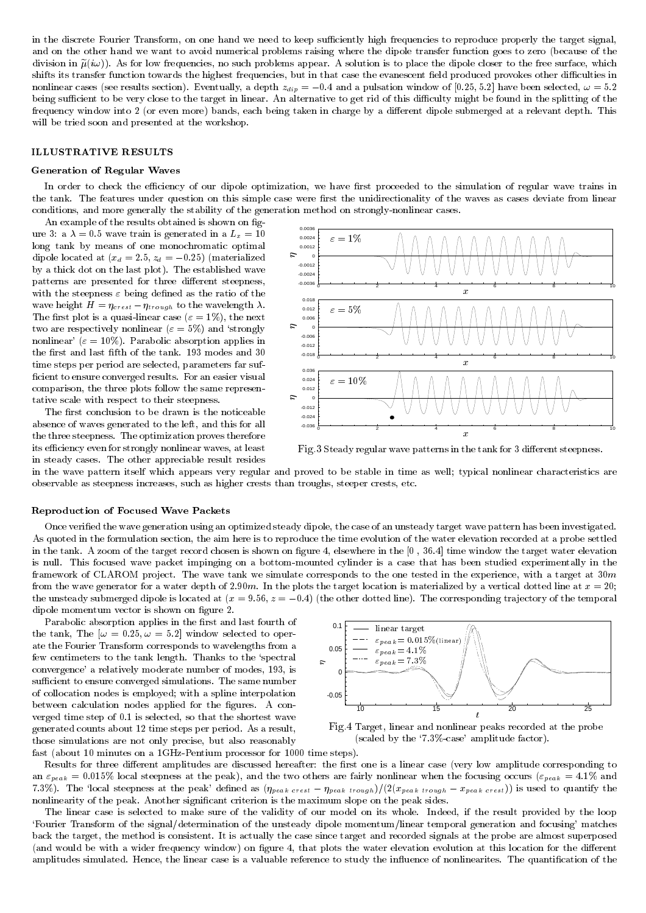in the discrete Fourier Transform, on one hand we need to keep sufficiently high frequencies to reproduce properly the target signal, and on the other hand we want to avoid numerical problems raising where the dipole transfer function goes to zero (because of the division in  $\tilde{\mu}(i\omega)$ ). As for low frequencies, no such problems appear. A solution is to place the dipole closer to the free surface, which shifts its transfer function towards the highest frequencies, but in that case the evanescent field produced provokes other difficulties in nonlinear cases (see results section). Eventually, a depth zdip <sup>=</sup> 0:4 and a pulsation window of [0:25; 5:2] have been selected, ! = 5:2 being sufficient to be very close to the target in linear. An alternative to get rid of this difficulty might be found in the splitting of the frequency window into 2 (or even more) bands, each being taken in charge by a different dipole submerged at a relevant depth. This will be tried soon and presented at the workshop.

## ILLUSTRATIVE RESULTS

#### Generation of Regular Waves

In order to check the efficiency of our dipole optimization, we have first proceeded to the simulation of regular wave trains in the tank. The features under question on this simple case were first the unidirectionality of the waves as cases deviate from linear conditions, and more generally the stability of the generation method on strongly-nonlinear cases.

An example of the results obtained is shown on figure 3: a  $\lambda = 0.5$  wave train is generated in a  $L_x = 10$ long tank by means of one monochromatic optimal dipole located at (xd = 2:5; zd <sup>=</sup> 0:25) (materialized by a thick dot on the last plot). The established wave patterns are presented for three different steepness, with the steepness  $\varepsilon$  being defined as the ratio of the wave height  $\sim$  crest  $\sim$  crest  $\sim$  crest  $\sim$  the wavelength . The wavelength  $\sim$ The first plot is a quasi-linear case ( $\varepsilon = 1\%$ ), the next two are respectively nonlinear ( $\varepsilon = 5\%$ ) and 'strongly nonlinear' ( $\varepsilon = 10\%$ ). Parabolic absorption applies in the first and last fifth of the tank. 193 modes and 30 time steps per period are selected, parameters far suf ficient to ensure converged results. For an easier visual comparison, the three plots follow the same representative scale with respect to their steepness.

The first conclusion to be drawn is the noticeable absence of waves generated to the left, and this for all the three steepness. The optimization proves therefore its efficiency even for strongly nonlinear waves, at least in steady cases. The other appreciable result resides



Fig.3 Steady regular wave patterns in the tank for 3 dierent steepness.

in the wave pattern itself which appears very regular and proved to be stable in time as well; typical nonlinear characteristics are observable as steepness increases, such as higher crests than troughs, steeper crests, etc.

#### Reproduction of Focused Wave Packets

Once veried the wave generation using an optimized steady dipole, the case of an unsteady target wave pattern has been investigated. As quoted in the formulation section, the aim here is to reproduce the time evolution of the water elevation recorded at a probe settled in the tank. A zoom of the target record chosen is shown on gure 4, elsewhere in the [0 , 36.4] time window the target water elevation is null. This focused wave packet impinging on a bottom-mounted cylinder is a case that has been studied experimentally in the framework of CLAROM project. The wave tank we simulate corresponds to the one tested in the experience, with a target at 30 $m$ from the wave generator for a water depth of 2.90m. In the plots the target location is materialized by a vertical dotted line at  $x = 20$ ; the unsteady submerged dipole is located at  $(x = 9.56, z = -0.4)$  (the other dotted line). The corresponding trajectory of the temporal dipole momentum vector is shown on figure 2.

Parabolic absorption applies in the first and last fourth of the tank, The  $[\omega = 0.25, \omega = 5.2]$  window selected to operate the Fourier Transform corresponds to wavelengths from a few centimeters to the tank length. Thanks to the `spectral convergence' a relatively moderate number of modes, 193, is sufficient to ensure converged simulations. The same number of collocation nodes is employed; with a spline interpolation between calculation nodes applied for the figures. A converged time step of 0.1 is selected, so that the shortest wave generated counts about 12 time steps per period. As a result, those simulations are not only precise, but also reasonably



Fig.4 Target, linear and nonlinear peaks recorded at the probe (scaled by the `7.3%-case' amplitude factor).

fast (about 10 minutes on a 1GHz-Pentium processor for 1000 time steps).

Results for three different amplitudes are discussed hereafter: the first one is a linear case (very low amplitude corresponding to an "peak = 0:015% local steepness at the peak), and the two others are fairly nonlinear when the focusing occurs ("peak = 4:1% and 7.3%). The 'local steepness at the peak' defined as  $(\eta_{peak\; crest} - \eta_{peak\;trough})/(2(x_{peak\;trough} - x_{peak\; crest}))$  is used to quantify the nonlinearity of the peak. Another signicant criterion is the maximum slope on the peak sides.

The linear case is selected to make sure of the validity of our model on its whole. Indeed, if the result provided by the loop `Fourier Transform of the signal/determination of the unsteady dipole momentum/linear temporal generation and focusing' matches back the target, the method is consistent. It is actually the case since target and recorded signals at the probe are almost superposed (and would be with a wider frequency window) on figure 4, that plots the water elevation evolution at this location for the different amplitudes simulated. Hence, the linear case is a valuable reference to study the influence of nonlinearites. The quantification of the